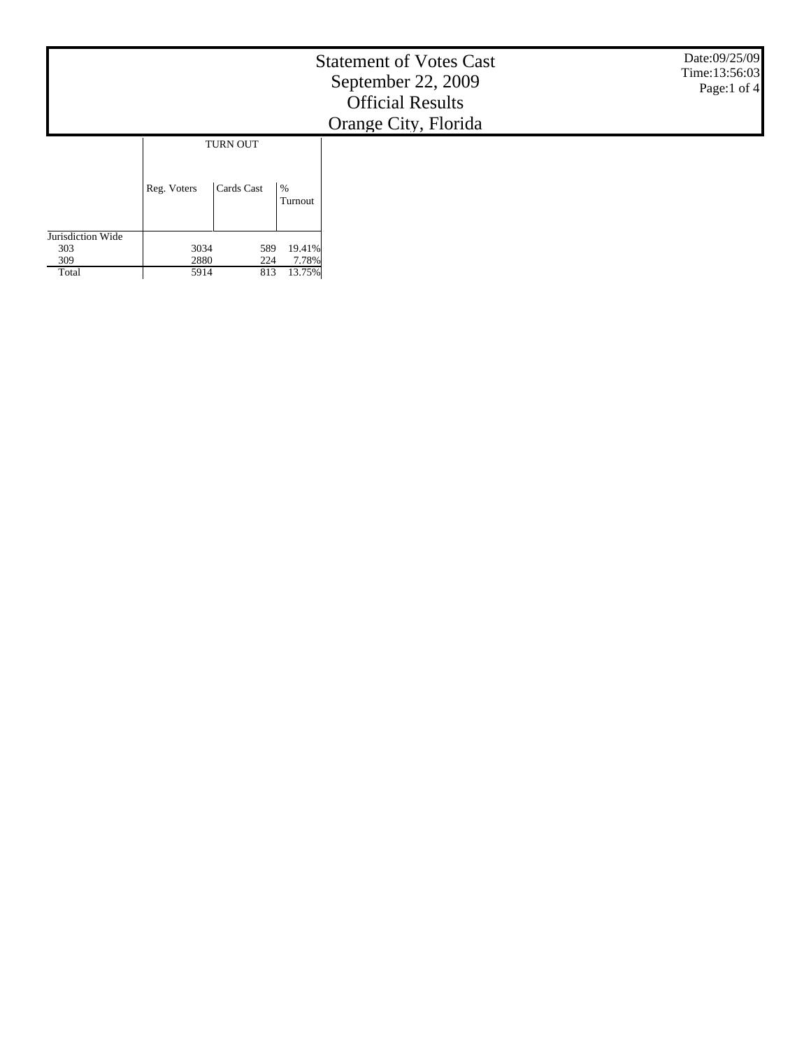|                                          |                      |                        |                           | <b>Statement of Votes Cast</b><br>September 22, 2009<br><b>Official Results</b><br>Orange City, Florida | Date:09/25/09<br>Time: 13:56:03<br>Page:1 of 4 |
|------------------------------------------|----------------------|------------------------|---------------------------|---------------------------------------------------------------------------------------------------------|------------------------------------------------|
|                                          | Reg. Voters          | TURN OUT<br>Cards Cast | $\%$<br>Turnout           |                                                                                                         |                                                |
| Jurisdiction Wide<br>303<br>309<br>Total | 3034<br>2880<br>5914 | 589<br>224<br>813      | 19.41%<br>7.78%<br>13.75% |                                                                                                         |                                                |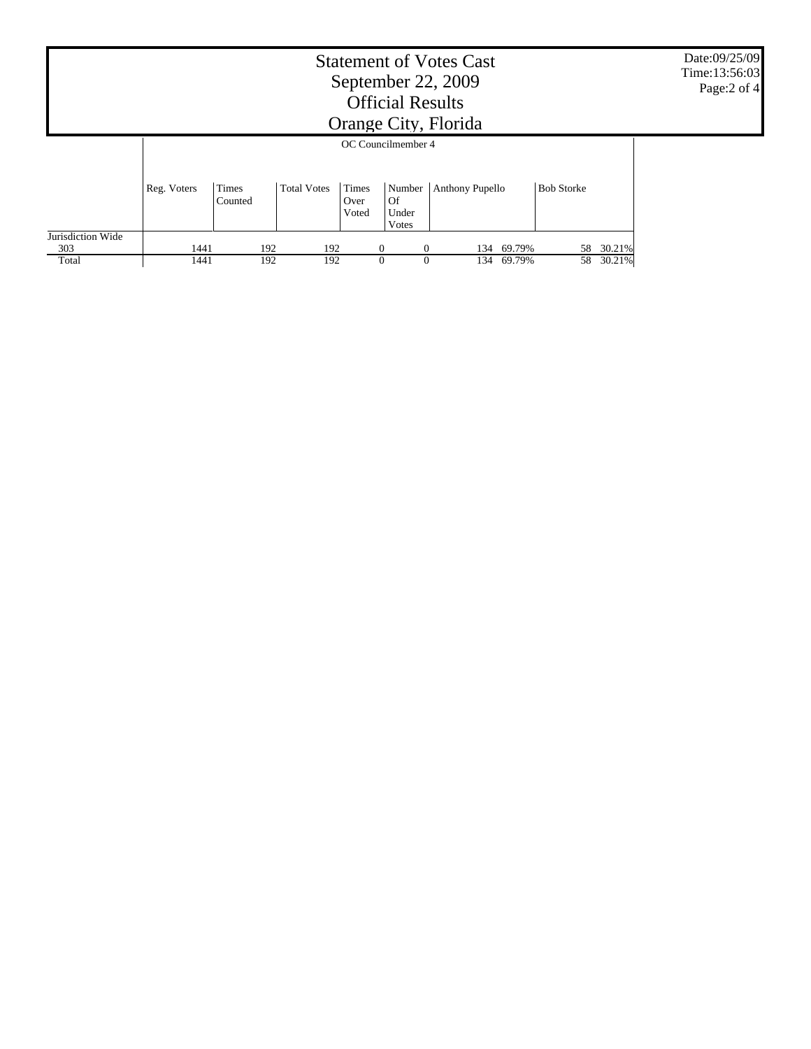|                          | Date:09/25/09<br>Time: 13:56:03<br>Page:2 of 4 |                  |                    |                        |                                       |                 |     |        |                   |        |  |  |
|--------------------------|------------------------------------------------|------------------|--------------------|------------------------|---------------------------------------|-----------------|-----|--------|-------------------|--------|--|--|
|                          | OC Councilmember 4                             |                  |                    |                        |                                       |                 |     |        |                   |        |  |  |
|                          | Reg. Voters                                    | Times<br>Counted | <b>Total Votes</b> | Times<br>Over<br>Voted | Number<br><b>Of</b><br>Under<br>Votes | Anthony Pupello |     |        | <b>Bob Storke</b> |        |  |  |
| Jurisdiction Wide<br>303 | 1441                                           | 192              | 192                |                        | $\theta$<br>0                         |                 | 134 | 69.79% | 58                | 30.21% |  |  |
| Total                    | 1441                                           | 192              | 192                |                        | $\Omega$<br>$\theta$                  |                 | 134 | 69.79% | 58                | 30.21% |  |  |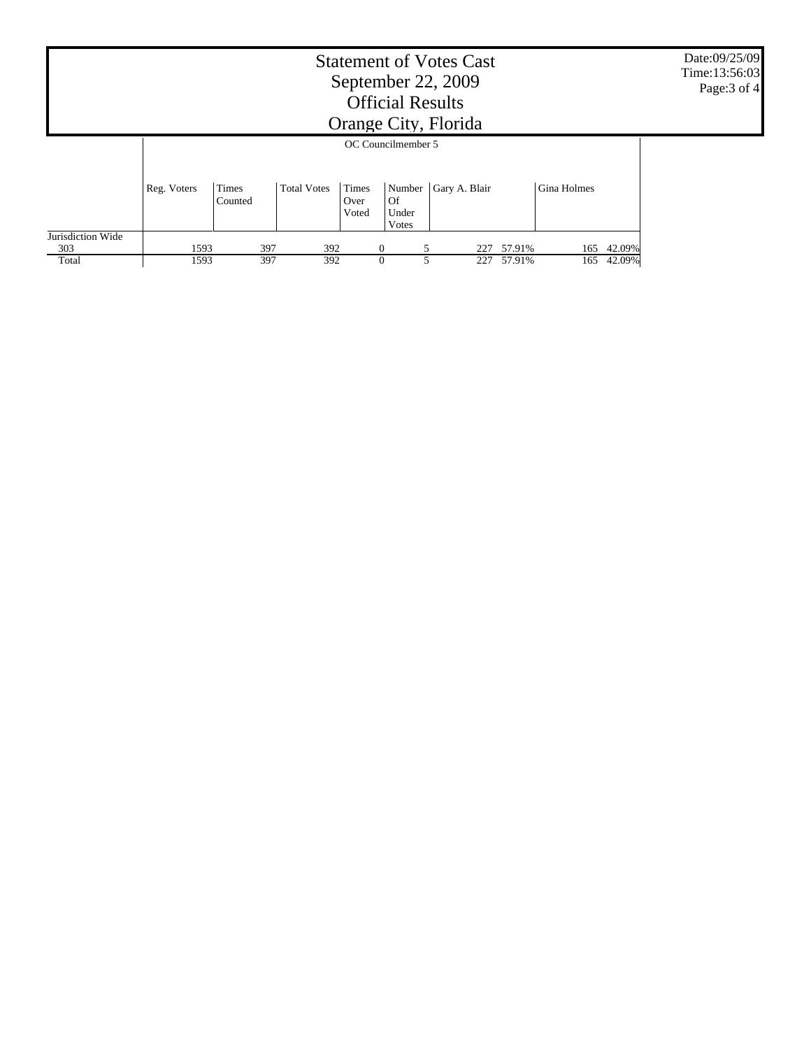|                          | Date:09/25/09<br>Time: 13:56:03<br>Page: 3 of 4 |                  |                    |                        |                                               |               |        |             |        |  |  |  |
|--------------------------|-------------------------------------------------|------------------|--------------------|------------------------|-----------------------------------------------|---------------|--------|-------------|--------|--|--|--|
|                          | OC Councilmember 5                              |                  |                    |                        |                                               |               |        |             |        |  |  |  |
|                          | Reg. Voters                                     | Times<br>Counted | <b>Total Votes</b> | Times<br>Over<br>Voted | Number<br><b>Of</b><br>Under<br><b>V</b> otes | Gary A. Blair |        | Gina Holmes |        |  |  |  |
| Jurisdiction Wide<br>303 | 1593                                            | 397              | 392                |                        | $\overline{0}$                                | 227           | 57.91% | 165         | 42.09% |  |  |  |
| Total                    | 1593                                            | 397              | 392                |                        | $\Omega$                                      | 227           | 57.91% | 165         | 42.09% |  |  |  |